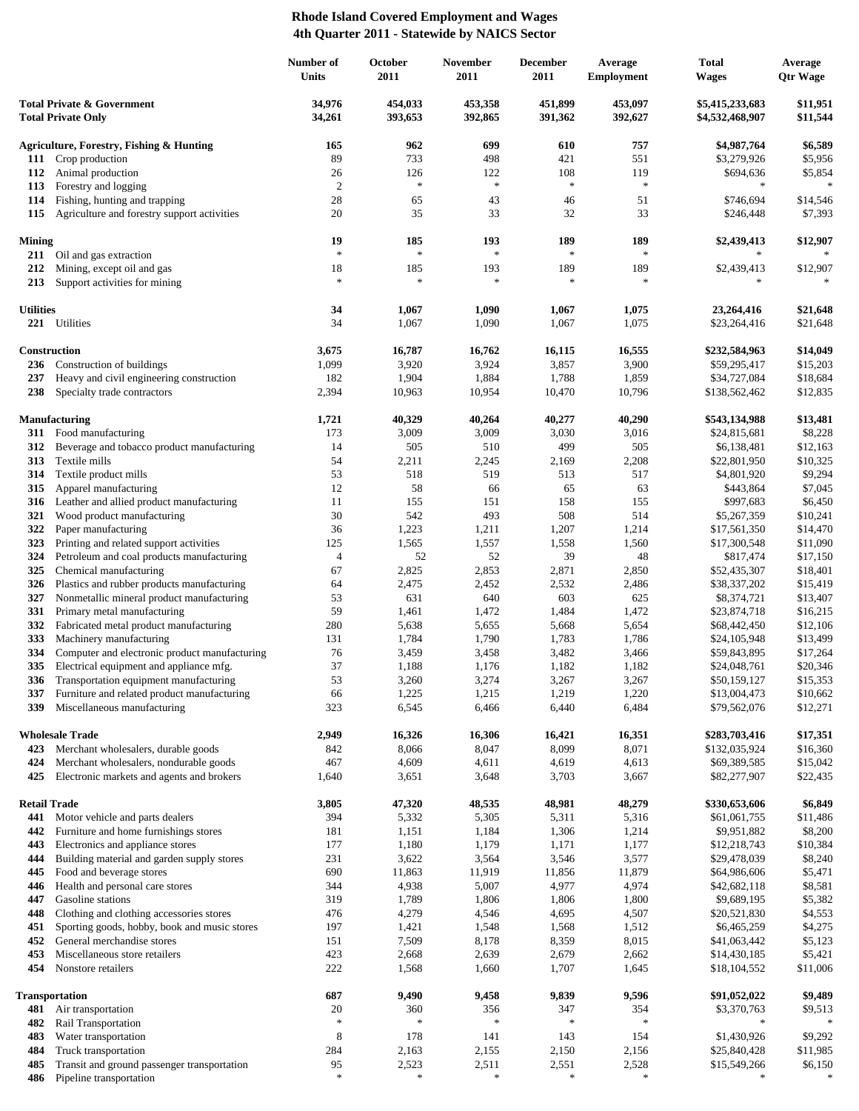## **Rhode Island Covered Employment and Wages 4th Quarter 2011 - Statewide by NAICS Sector**

|                                                         |                                                                                         | Number of<br>Units   | October<br>2011    | November<br>2011   | <b>December</b><br>2011 | Average<br><b>Employment</b> | Total<br><b>Wages</b>              | Average<br><b>Qtr Wage</b> |
|---------------------------------------------------------|-----------------------------------------------------------------------------------------|----------------------|--------------------|--------------------|-------------------------|------------------------------|------------------------------------|----------------------------|
| Total Private & Government<br><b>Total Private Only</b> |                                                                                         | 34,976<br>34,261     | 454,033<br>393,653 | 453,358<br>392,865 | 451,899<br>391,362      | 453,097<br>392,627           | \$5,415,233,683<br>\$4,532,468,907 | \$11,951<br>\$11,544       |
|                                                         | Agriculture, Forestry, Fishing & Hunting                                                | 165                  | 962                | 699                | 610                     | 757                          | \$4,987,764                        | \$6,589                    |
|                                                         | 111 Crop production                                                                     | 89                   | 733                | 498                | 421                     | 551                          | \$3,279,926                        | \$5,956                    |
|                                                         | 112 Animal production                                                                   | 26                   | 126<br>$\ast$      | 122<br>$\ast$      | 108<br>$\ast$           | 119<br>$\ast$                | \$694,636<br>$\ast$                | \$5,854<br>$\ast$          |
| 113<br>114                                              | Forestry and logging<br>Fishing, hunting and trapping                                   | $\overline{2}$<br>28 | 65                 | 43                 | 46                      | 51                           | \$746,694                          | \$14,546                   |
| 115                                                     | Agriculture and forestry support activities                                             | 20                   | 35                 | 33                 | 32                      | 33                           | \$246,448                          | \$7,393                    |
| <b>Mining</b>                                           |                                                                                         | 19                   | 185                | 193                | 189                     | 189                          | \$2,439,413                        | \$12,907                   |
|                                                         | 211 Oil and gas extraction                                                              | $\ast$               | $\ast$             | $\ast$<br>193      | $\ast$                  | $\ast$<br>189                | \$2,439,413                        |                            |
| 212<br>213                                              | Mining, except oil and gas<br>Support activities for mining                             | 18<br>$\frac{1}{2}$  | 185<br>$\ast$      | $\ast$             | 189<br>$\ast$           | $\ast$                       | *                                  | \$12,907                   |
| <b>Utilities</b>                                        |                                                                                         | 34                   | 1,067              | 1,090              | 1,067                   | 1,075                        | 23,264,416                         | \$21,648                   |
|                                                         | 221 Utilities                                                                           | 34                   | 1,067              | 1,090              | 1,067                   | 1,075                        | \$23,264,416                       | \$21,648                   |
|                                                         | Construction                                                                            | 3,675                | 16,787             | 16,762             | 16,115                  | 16,555                       | \$232,584,963                      | \$14,049                   |
|                                                         | 236 Construction of buildings                                                           | 1,099                | 3,920              | 3,924              | 3,857                   | 3,900                        | \$59,295,417                       | \$15,203                   |
| 237<br>238                                              | Heavy and civil engineering construction<br>Specialty trade contractors                 | 182<br>2,394         | 1,904<br>10,963    | 1,884<br>10,954    | 1,788<br>10,470         | 1,859<br>10,796              | \$34,727,084<br>\$138,562,462      | \$18,684<br>\$12,835       |
|                                                         |                                                                                         |                      |                    |                    |                         |                              |                                    |                            |
|                                                         | <b>Manufacturing</b>                                                                    | 1,721                | 40,329             | 40,264             | 40,277                  | 40,290                       | \$543,134,988                      | \$13,481                   |
|                                                         | 311 Food manufacturing                                                                  | 173                  | 3,009              | 3,009              | 3,030                   | 3,016                        | \$24,815,681                       | \$8,228                    |
| 312                                                     | Beverage and tobacco product manufacturing                                              | 14                   | 505                | 510                | 499                     | 505                          | \$6,138,481                        | \$12,163                   |
| 313<br>314                                              | Textile mills<br>Textile product mills                                                  | 54<br>53             | 2,211<br>518       | 2,245<br>519       | 2,169<br>513            | 2,208<br>517                 | \$22,801,950<br>\$4,801,920        | \$10,325<br>\$9,294        |
| 315                                                     | Apparel manufacturing                                                                   | 12                   | 58                 | 66                 | 65                      | 63                           | \$443,864                          | \$7,045                    |
| 316                                                     | Leather and allied product manufacturing                                                | 11                   | 155                | 151                | 158                     | 155                          | \$997,683                          | \$6,450                    |
| 321                                                     | Wood product manufacturing                                                              | 30                   | 542                | 493                | 508                     | 514                          | \$5,267,359                        | \$10,241                   |
| 322                                                     | Paper manufacturing                                                                     | 36                   | 1,223              | 1,211              | 1,207                   | 1,214                        | \$17,561,350                       | \$14,470                   |
| 323                                                     | Printing and related support activities                                                 | 125                  | 1,565              | 1,557              | 1,558                   | 1,560                        | \$17,300,548                       | \$11,090                   |
| 324                                                     | Petroleum and coal products manufacturing                                               | $\overline{4}$       | 52                 | 52                 | 39                      | 48                           | \$817,474                          | \$17,150                   |
| 325                                                     | Chemical manufacturing                                                                  | 67<br>64             | 2,825              | 2,853              | 2,871                   | 2,850                        | \$52,435,307                       | \$18,401                   |
| 326<br>327                                              | Plastics and rubber products manufacturing<br>Nonmetallic mineral product manufacturing | 53                   | 2,475<br>631       | 2,452<br>640       | 2,532<br>603            | 2,486<br>625                 | \$38,337,202<br>\$8,374,721        | \$15,419<br>\$13,407       |
| 331                                                     | Primary metal manufacturing                                                             | 59                   | 1,461              | 1,472              | 1,484                   | 1,472                        | \$23,874,718                       | \$16,215                   |
| 332                                                     | Fabricated metal product manufacturing                                                  | 280                  | 5,638              | 5,655              | 5,668                   | 5,654                        | \$68,442,450                       | \$12,106                   |
| 333                                                     | Machinery manufacturing                                                                 | 131                  | 1,784              | 1,790              | 1,783                   | 1,786                        | \$24,105,948                       | \$13,499                   |
| 334                                                     | Computer and electronic product manufacturing                                           | 76                   | 3,459              | 3,458              | 3,482                   | 3,466                        | \$59,843,895                       | \$17,264                   |
| 335                                                     | Electrical equipment and appliance mfg.                                                 | 37                   | 1,188              | 1,176              | 1,182                   | 1,182                        | \$24,048,761                       | \$20,346                   |
| 336                                                     | Transportation equipment manufacturing<br>Furniture and related product manufacturing   | 53                   | 3,260<br>1,225     | 3,274<br>1,215     | 3,267<br>1,219          | 3,267<br>1,220               | \$50,159,127<br>\$13,004,473       | \$15,353<br>\$10,662       |
| 337<br>339                                              | Miscellaneous manufacturing                                                             | 66<br>323            | 6,545              | 6,466              | 6,440                   | 6,484                        | \$79,562,076                       | \$12,271                   |
| <b>Wholesale Trade</b>                                  |                                                                                         | 2,949                | 16,326             | 16,306             | 16,421                  | 16,351                       | \$283,703,416                      | \$17,351                   |
|                                                         | 423 Merchant wholesalers, durable goods                                                 | 842                  | 8,066              | 8,047              | 8,099                   | 8,071                        | \$132,035,924                      | \$16,360                   |
| 424<br>425                                              | Merchant wholesalers, nondurable goods<br>Electronic markets and agents and brokers     | 467<br>1,640         | 4,609<br>3,651     | 4,611<br>3,648     | 4,619<br>3,703          | 4,613<br>3,667               | \$69,389,585<br>\$82,277,907       | \$15,042<br>\$22,435       |
|                                                         |                                                                                         |                      |                    |                    |                         |                              |                                    |                            |
|                                                         | <b>Retail Trade</b>                                                                     | 3,805                | 47,320             | 48,535             | 48,981                  | 48,279                       | \$330,653,606                      | \$6,849                    |
| 441<br>442                                              | Motor vehicle and parts dealers<br>Furniture and home furnishings stores                | 394<br>181           | 5,332<br>1,151     | 5,305<br>1,184     | 5,311<br>1,306          | 5,316<br>1,214               | \$61,061,755<br>\$9,951,882        | \$11,486<br>\$8,200        |
| 443                                                     | Electronics and appliance stores                                                        | 177                  | 1,180              | 1,179              | 1,171                   | 1,177                        | \$12,218,743                       | \$10,384                   |
| 444                                                     | Building material and garden supply stores                                              | 231                  | 3,622              | 3,564              | 3,546                   | 3,577                        | \$29,478,039                       | \$8,240                    |
| 445                                                     | Food and beverage stores                                                                | 690                  | 11,863             | 11,919             | 11,856                  | 11,879                       | \$64,986,606                       | \$5,471                    |
| 446                                                     | Health and personal care stores                                                         | 344                  | 4,938              | 5,007              | 4,977                   | 4,974                        | \$42,682,118                       | \$8,581                    |
| 447                                                     | Gasoline stations                                                                       | 319                  | 1,789              | 1,806              | 1,806                   | 1,800                        | \$9,689,195                        | \$5,382                    |
| 448                                                     | Clothing and clothing accessories stores                                                | 476                  | 4,279              | 4,546              | 4,695                   | 4,507                        | \$20,521,830                       | \$4,553                    |
| 451<br>452                                              | Sporting goods, hobby, book and music stores<br>General merchandise stores              | 197<br>151           | 1,421<br>7,509     | 1,548<br>8,178     | 1,568<br>8,359          | 1,512<br>8,015               | \$6,465,259<br>\$41,063,442        | \$4,275<br>\$5,123         |
| 453                                                     | Miscellaneous store retailers                                                           | 423                  | 2,668              | 2,639              | 2,679                   | 2,662                        | \$14,430,185                       | \$5,421                    |
| 454                                                     | Nonstore retailers                                                                      | 222                  | 1,568              | 1,660              | 1,707                   | 1,645                        | \$18,104,552                       | \$11,006                   |
|                                                         | <b>Transportation</b>                                                                   | 687                  | 9,490              | 9,458              | 9,839                   | 9,596                        | \$91,052,022                       | \$9,489                    |
| 481                                                     | Air transportation                                                                      | 20<br>$\ast$         | 360                | 356                | 347<br>$\ast$           | 354<br>$\ast$                | \$3,370,763                        | \$9,513                    |
| 482                                                     | Rail Transportation<br>Water transportation                                             | 8                    | 178                | 141                | 143                     | 154                          | ∗<br>\$1,430,926                   | \$9,292                    |
| 483<br>484                                              | Truck transportation                                                                    | 284                  | 2,163              | 2,155              | 2,150                   | 2,156                        | \$25,840,428                       | \$11,985                   |
| 485                                                     | Transit and ground passenger transportation                                             | 95                   | 2,523              | 2,511              | 2,551                   | 2,528                        | \$15,549,266                       | \$6,150                    |
| 486                                                     | Pipeline transportation                                                                 | $\ast$               | $\ast$             | $\ast$             | $\ast$                  | $\ast$                       | ∗                                  | $\ast$                     |